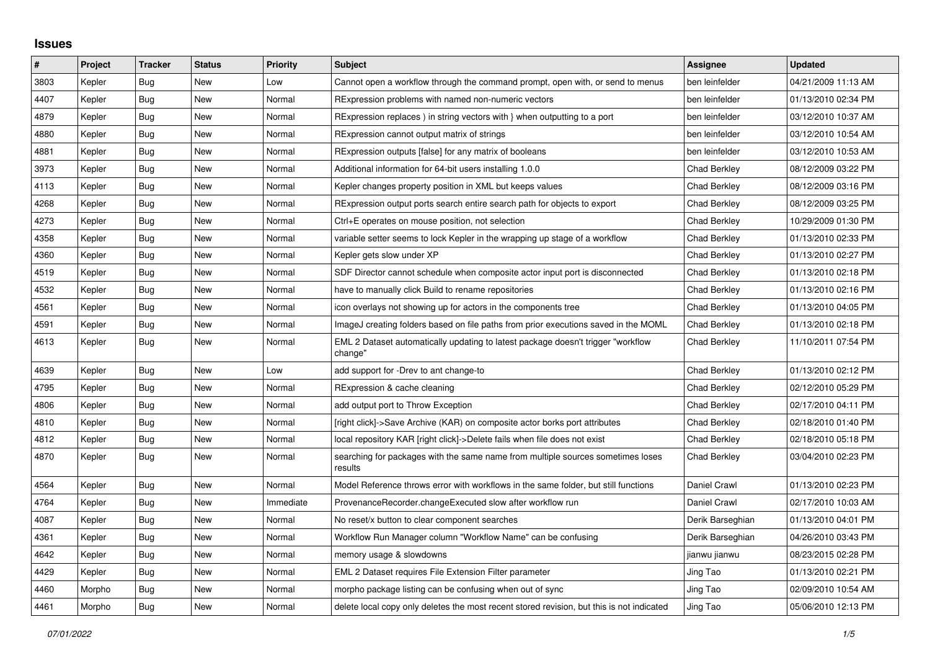## **Issues**

| $\vert$ # | Project | <b>Tracker</b> | <b>Status</b> | <b>Priority</b> | <b>Subject</b>                                                                               | <b>Assignee</b>     | <b>Updated</b>      |
|-----------|---------|----------------|---------------|-----------------|----------------------------------------------------------------------------------------------|---------------------|---------------------|
| 3803      | Kepler  | Bug            | New           | Low             | Cannot open a workflow through the command prompt, open with, or send to menus               | ben leinfelder      | 04/21/2009 11:13 AM |
| 4407      | Kepler  | Bug            | New           | Normal          | RExpression problems with named non-numeric vectors                                          | ben leinfelder      | 01/13/2010 02:34 PM |
| 4879      | Kepler  | Bug            | New           | Normal          | RExpression replaces ) in string vectors with } when outputting to a port                    | ben leinfelder      | 03/12/2010 10:37 AM |
| 4880      | Kepler  | Bug            | <b>New</b>    | Normal          | RExpression cannot output matrix of strings                                                  | ben leinfelder      | 03/12/2010 10:54 AM |
| 4881      | Kepler  | Bug            | <b>New</b>    | Normal          | RExpression outputs [false] for any matrix of booleans                                       | ben leinfelder      | 03/12/2010 10:53 AM |
| 3973      | Kepler  | <b>Bug</b>     | <b>New</b>    | Normal          | Additional information for 64-bit users installing 1.0.0                                     | <b>Chad Berkley</b> | 08/12/2009 03:22 PM |
| 4113      | Kepler  | Bug            | <b>New</b>    | Normal          | Kepler changes property position in XML but keeps values                                     | <b>Chad Berkley</b> | 08/12/2009 03:16 PM |
| 4268      | Kepler  | Bug            | New           | Normal          | RExpression output ports search entire search path for objects to export                     | Chad Berkley        | 08/12/2009 03:25 PM |
| 4273      | Kepler  | Bug            | <b>New</b>    | Normal          | Ctrl+E operates on mouse position, not selection                                             | <b>Chad Berkley</b> | 10/29/2009 01:30 PM |
| 4358      | Kepler  | Bug            | <b>New</b>    | Normal          | variable setter seems to lock Kepler in the wrapping up stage of a workflow                  | <b>Chad Berkley</b> | 01/13/2010 02:33 PM |
| 4360      | Kepler  | Bug            | <b>New</b>    | Normal          | Kepler gets slow under XP                                                                    | Chad Berkley        | 01/13/2010 02:27 PM |
| 4519      | Kepler  | <b>Bug</b>     | New           | Normal          | SDF Director cannot schedule when composite actor input port is disconnected                 | <b>Chad Berkley</b> | 01/13/2010 02:18 PM |
| 4532      | Kepler  | Bug            | <b>New</b>    | Normal          | have to manually click Build to rename repositories                                          | <b>Chad Berkley</b> | 01/13/2010 02:16 PM |
| 4561      | Kepler  | Bug            | New           | Normal          | icon overlays not showing up for actors in the components tree                               | <b>Chad Berkley</b> | 01/13/2010 04:05 PM |
| 4591      | Kepler  | Bug            | <b>New</b>    | Normal          | ImageJ creating folders based on file paths from prior executions saved in the MOML          | <b>Chad Berkley</b> | 01/13/2010 02:18 PM |
| 4613      | Kepler  | Bug            | <b>New</b>    | Normal          | EML 2 Dataset automatically updating to latest package doesn't trigger "workflow"<br>change" | <b>Chad Berkley</b> | 11/10/2011 07:54 PM |
| 4639      | Kepler  | Bug            | <b>New</b>    | Low             | add support for -Drev to ant change-to                                                       | Chad Berkley        | 01/13/2010 02:12 PM |
| 4795      | Kepler  | Bug            | <b>New</b>    | Normal          | RExpression & cache cleaning                                                                 | <b>Chad Berkley</b> | 02/12/2010 05:29 PM |
| 4806      | Kepler  | Bug            | New           | Normal          | add output port to Throw Exception                                                           | Chad Berkley        | 02/17/2010 04:11 PM |
| 4810      | Kepler  | Bug            | New           | Normal          | [right click]->Save Archive (KAR) on composite actor borks port attributes                   | Chad Berkley        | 02/18/2010 01:40 PM |
| 4812      | Kepler  | Bug            | <b>New</b>    | Normal          | local repository KAR [right click]->Delete fails when file does not exist                    | Chad Berkley        | 02/18/2010 05:18 PM |
| 4870      | Kepler  | Bug            | <b>New</b>    | Normal          | searching for packages with the same name from multiple sources sometimes loses<br>results   | Chad Berkley        | 03/04/2010 02:23 PM |
| 4564      | Kepler  | <b>Bug</b>     | <b>New</b>    | Normal          | Model Reference throws error with workflows in the same folder, but still functions          | Daniel Crawl        | 01/13/2010 02:23 PM |
| 4764      | Kepler  | <b>Bug</b>     | <b>New</b>    | Immediate       | ProvenanceRecorder.changeExecuted slow after workflow run                                    | Daniel Crawl        | 02/17/2010 10:03 AM |
| 4087      | Kepler  | Bug            | New           | Normal          | No reset/x button to clear component searches                                                | Derik Barseghian    | 01/13/2010 04:01 PM |
| 4361      | Kepler  | Bug            | <b>New</b>    | Normal          | Workflow Run Manager column "Workflow Name" can be confusing                                 | Derik Barseghian    | 04/26/2010 03:43 PM |
| 4642      | Kepler  | Bug            | New           | Normal          | memory usage & slowdowns                                                                     | jianwu jianwu       | 08/23/2015 02:28 PM |
| 4429      | Kepler  | Bug            | New           | Normal          | <b>EML 2 Dataset requires File Extension Filter parameter</b>                                | Jing Tao            | 01/13/2010 02:21 PM |
| 4460      | Morpho  | Bug            | <b>New</b>    | Normal          | morpho package listing can be confusing when out of sync                                     | Jing Tao            | 02/09/2010 10:54 AM |
| 4461      | Morpho  | Bug            | New           | Normal          | delete local copy only deletes the most recent stored revision, but this is not indicated    | Jing Tao            | 05/06/2010 12:13 PM |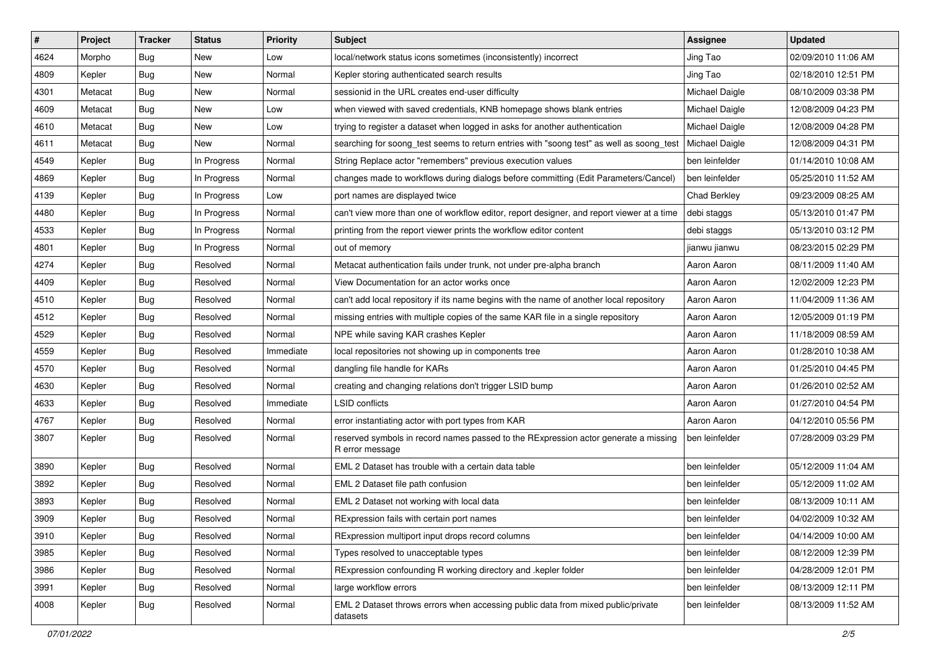| $\vert$ # | Project | <b>Tracker</b> | <b>Status</b> | <b>Priority</b> | <b>Subject</b>                                                                                         | <b>Assignee</b> | <b>Updated</b>      |
|-----------|---------|----------------|---------------|-----------------|--------------------------------------------------------------------------------------------------------|-----------------|---------------------|
| 4624      | Morpho  | <b>Bug</b>     | New           | Low             | local/network status icons sometimes (inconsistently) incorrect                                        | Jing Tao        | 02/09/2010 11:06 AM |
| 4809      | Kepler  | Bug            | <b>New</b>    | Normal          | Kepler storing authenticated search results                                                            | Jing Tao        | 02/18/2010 12:51 PM |
| 4301      | Metacat | <b>Bug</b>     | New           | Normal          | sessionid in the URL creates end-user difficulty                                                       | Michael Daigle  | 08/10/2009 03:38 PM |
| 4609      | Metacat | <b>Bug</b>     | New           | Low             | when viewed with saved credentials, KNB homepage shows blank entries                                   | Michael Daigle  | 12/08/2009 04:23 PM |
| 4610      | Metacat | <b>Bug</b>     | New           | Low             | trying to register a dataset when logged in asks for another authentication                            | Michael Daigle  | 12/08/2009 04:28 PM |
| 4611      | Metacat | <b>Bug</b>     | New           | Normal          | searching for soong_test seems to return entries with "soong test" as well as soong_test               | Michael Daigle  | 12/08/2009 04:31 PM |
| 4549      | Kepler  | <b>Bug</b>     | In Progress   | Normal          | String Replace actor "remembers" previous execution values                                             | ben leinfelder  | 01/14/2010 10:08 AM |
| 4869      | Kepler  | <b>Bug</b>     | In Progress   | Normal          | changes made to workflows during dialogs before committing (Edit Parameters/Cancel)                    | ben leinfelder  | 05/25/2010 11:52 AM |
| 4139      | Kepler  | <b>Bug</b>     | In Progress   | Low             | port names are displayed twice                                                                         | Chad Berkley    | 09/23/2009 08:25 AM |
| 4480      | Kepler  | Bug            | In Progress   | Normal          | can't view more than one of workflow editor, report designer, and report viewer at a time              | debi staggs     | 05/13/2010 01:47 PM |
| 4533      | Kepler  | <b>Bug</b>     | In Progress   | Normal          | printing from the report viewer prints the workflow editor content                                     | debi staggs     | 05/13/2010 03:12 PM |
| 4801      | Kepler  | Bug            | In Progress   | Normal          | out of memory                                                                                          | jianwu jianwu   | 08/23/2015 02:29 PM |
| 4274      | Kepler  | <b>Bug</b>     | Resolved      | Normal          | Metacat authentication fails under trunk, not under pre-alpha branch                                   | Aaron Aaron     | 08/11/2009 11:40 AM |
| 4409      | Kepler  | <b>Bug</b>     | Resolved      | Normal          | View Documentation for an actor works once                                                             | Aaron Aaron     | 12/02/2009 12:23 PM |
| 4510      | Kepler  | <b>Bug</b>     | Resolved      | Normal          | can't add local repository if its name begins with the name of another local repository                | Aaron Aaron     | 11/04/2009 11:36 AM |
| 4512      | Kepler  | <b>Bug</b>     | Resolved      | Normal          | missing entries with multiple copies of the same KAR file in a single repository                       | Aaron Aaron     | 12/05/2009 01:19 PM |
| 4529      | Kepler  | <b>Bug</b>     | Resolved      | Normal          | NPE while saving KAR crashes Kepler                                                                    | Aaron Aaron     | 11/18/2009 08:59 AM |
| 4559      | Kepler  | Bug            | Resolved      | Immediate       | local repositories not showing up in components tree                                                   | Aaron Aaron     | 01/28/2010 10:38 AM |
| 4570      | Kepler  | <b>Bug</b>     | Resolved      | Normal          | dangling file handle for KARs                                                                          | Aaron Aaron     | 01/25/2010 04:45 PM |
| 4630      | Kepler  | Bug            | Resolved      | Normal          | creating and changing relations don't trigger LSID bump                                                | Aaron Aaron     | 01/26/2010 02:52 AM |
| 4633      | Kepler  | <b>Bug</b>     | Resolved      | Immediate       | <b>LSID</b> conflicts                                                                                  | Aaron Aaron     | 01/27/2010 04:54 PM |
| 4767      | Kepler  | <b>Bug</b>     | Resolved      | Normal          | error instantiating actor with port types from KAR                                                     | Aaron Aaron     | 04/12/2010 05:56 PM |
| 3807      | Kepler  | Bug            | Resolved      | Normal          | reserved symbols in record names passed to the RExpression actor generate a missing<br>R error message | ben leinfelder  | 07/28/2009 03:29 PM |
| 3890      | Kepler  | <b>Bug</b>     | Resolved      | Normal          | EML 2 Dataset has trouble with a certain data table                                                    | ben leinfelder  | 05/12/2009 11:04 AM |
| 3892      | Kepler  | Bug            | Resolved      | Normal          | EML 2 Dataset file path confusion                                                                      | ben leinfelder  | 05/12/2009 11:02 AM |
| 3893      | Kepler  | <b>Bug</b>     | Resolved      | Normal          | EML 2 Dataset not working with local data                                                              | ben leinfelder  | 08/13/2009 10:11 AM |
| 3909      | Kepler  | <b>Bug</b>     | Resolved      | Normal          | RExpression fails with certain port names                                                              | ben leinfelder  | 04/02/2009 10:32 AM |
| 3910      | Kepler  | <b>Bug</b>     | Resolved      | Normal          | RExpression multiport input drops record columns                                                       | ben leinfelder  | 04/14/2009 10:00 AM |
| 3985      | Kepler  | <b>Bug</b>     | Resolved      | Normal          | Types resolved to unacceptable types                                                                   | ben leinfelder  | 08/12/2009 12:39 PM |
| 3986      | Kepler  | <b>Bug</b>     | Resolved      | Normal          | RExpression confounding R working directory and .kepler folder                                         | ben leinfelder  | 04/28/2009 12:01 PM |
| 3991      | Kepler  | <b>Bug</b>     | Resolved      | Normal          | large workflow errors                                                                                  | ben leinfelder  | 08/13/2009 12:11 PM |
| 4008      | Kepler  | <b>Bug</b>     | Resolved      | Normal          | EML 2 Dataset throws errors when accessing public data from mixed public/private<br>datasets           | ben leinfelder  | 08/13/2009 11:52 AM |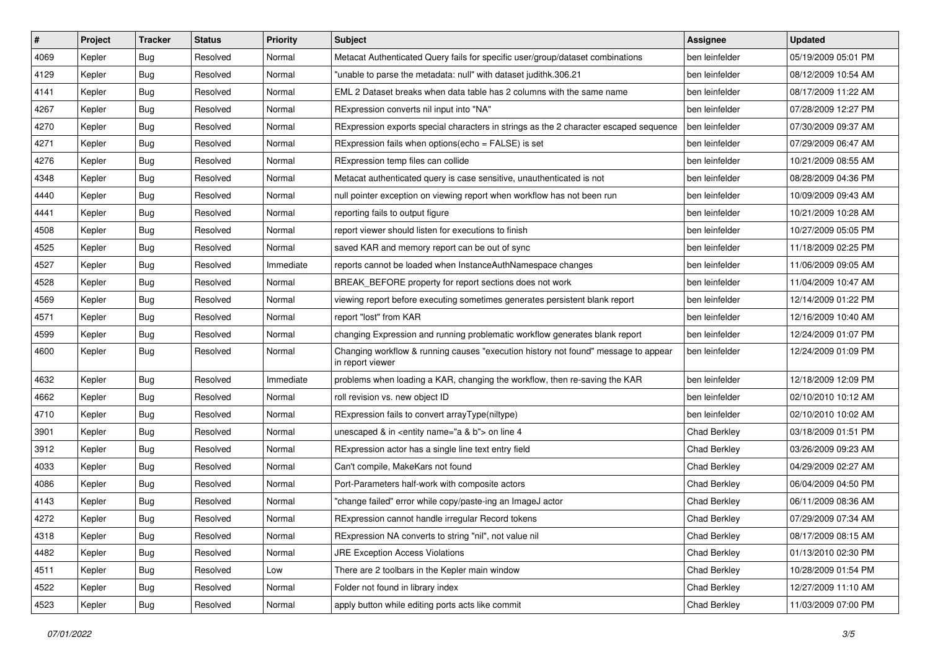| $\vert$ # | Project | <b>Tracker</b> | <b>Status</b> | <b>Priority</b> | Subject                                                                                                | <b>Assignee</b>     | <b>Updated</b>      |
|-----------|---------|----------------|---------------|-----------------|--------------------------------------------------------------------------------------------------------|---------------------|---------------------|
| 4069      | Kepler  | <b>Bug</b>     | Resolved      | Normal          | Metacat Authenticated Query fails for specific user/group/dataset combinations                         | ben leinfelder      | 05/19/2009 05:01 PM |
| 4129      | Kepler  | Bug            | Resolved      | Normal          | "unable to parse the metadata: null" with dataset judithk.306.21                                       | ben leinfelder      | 08/12/2009 10:54 AM |
| 4141      | Kepler  | <b>Bug</b>     | Resolved      | Normal          | EML 2 Dataset breaks when data table has 2 columns with the same name                                  | ben leinfelder      | 08/17/2009 11:22 AM |
| 4267      | Kepler  | <b>Bug</b>     | Resolved      | Normal          | RExpression converts nil input into "NA"                                                               | ben leinfelder      | 07/28/2009 12:27 PM |
| 4270      | Kepler  | Bug            | Resolved      | Normal          | RExpression exports special characters in strings as the 2 character escaped sequence                  | ben leinfelder      | 07/30/2009 09:37 AM |
| 4271      | Kepler  | <b>Bug</b>     | Resolved      | Normal          | RExpression fails when options(echo = FALSE) is set                                                    | ben leinfelder      | 07/29/2009 06:47 AM |
| 4276      | Kepler  | <b>Bug</b>     | Resolved      | Normal          | RExpression temp files can collide                                                                     | ben leinfelder      | 10/21/2009 08:55 AM |
| 4348      | Kepler  | <b>Bug</b>     | Resolved      | Normal          | Metacat authenticated query is case sensitive, unauthenticated is not                                  | ben leinfelder      | 08/28/2009 04:36 PM |
| 4440      | Kepler  | <b>Bug</b>     | Resolved      | Normal          | null pointer exception on viewing report when workflow has not been run                                | ben leinfelder      | 10/09/2009 09:43 AM |
| 4441      | Kepler  | Bug            | Resolved      | Normal          | reporting fails to output figure                                                                       | ben leinfelder      | 10/21/2009 10:28 AM |
| 4508      | Kepler  | <b>Bug</b>     | Resolved      | Normal          | report viewer should listen for executions to finish                                                   | ben leinfelder      | 10/27/2009 05:05 PM |
| 4525      | Kepler  | <b>Bug</b>     | Resolved      | Normal          | saved KAR and memory report can be out of sync                                                         | ben leinfelder      | 11/18/2009 02:25 PM |
| 4527      | Kepler  | <b>Bug</b>     | Resolved      | Immediate       | reports cannot be loaded when InstanceAuthNamespace changes                                            | ben leinfelder      | 11/06/2009 09:05 AM |
| 4528      | Kepler  | <b>Bug</b>     | Resolved      | Normal          | BREAK_BEFORE property for report sections does not work                                                | ben leinfelder      | 11/04/2009 10:47 AM |
| 4569      | Kepler  | <b>Bug</b>     | Resolved      | Normal          | viewing report before executing sometimes generates persistent blank report                            | ben leinfelder      | 12/14/2009 01:22 PM |
| 4571      | Kepler  | <b>Bug</b>     | Resolved      | Normal          | report "lost" from KAR                                                                                 | ben leinfelder      | 12/16/2009 10:40 AM |
| 4599      | Kepler  | <b>Bug</b>     | Resolved      | Normal          | changing Expression and running problematic workflow generates blank report                            | ben leinfelder      | 12/24/2009 01:07 PM |
| 4600      | Kepler  | Bug            | Resolved      | Normal          | Changing workflow & running causes "execution history not found" message to appear<br>in report viewer | ben leinfelder      | 12/24/2009 01:09 PM |
| 4632      | Kepler  | Bug            | Resolved      | Immediate       | problems when loading a KAR, changing the workflow, then re-saving the KAR                             | ben leinfelder      | 12/18/2009 12:09 PM |
| 4662      | Kepler  | <b>Bug</b>     | Resolved      | Normal          | roll revision vs. new object ID                                                                        | ben leinfelder      | 02/10/2010 10:12 AM |
| 4710      | Kepler  | Bug            | Resolved      | Normal          | RExpression fails to convert arrayType(niltype)                                                        | ben leinfelder      | 02/10/2010 10:02 AM |
| 3901      | Kepler  | Bug            | Resolved      | Normal          | unescaped & in <entity name="a &amp; b"> on line 4</entity>                                            | Chad Berkley        | 03/18/2009 01:51 PM |
| 3912      | Kepler  | <b>Bug</b>     | Resolved      | Normal          | RExpression actor has a single line text entry field                                                   | Chad Berkley        | 03/26/2009 09:23 AM |
| 4033      | Kepler  | <b>Bug</b>     | Resolved      | Normal          | Can't compile, MakeKars not found                                                                      | <b>Chad Berkley</b> | 04/29/2009 02:27 AM |
| 4086      | Kepler  | Bug            | Resolved      | Normal          | Port-Parameters half-work with composite actors                                                        | Chad Berkley        | 06/04/2009 04:50 PM |
| 4143      | Kepler  | <b>Bug</b>     | Resolved      | Normal          | "change failed" error while copy/paste-ing an ImageJ actor                                             | <b>Chad Berkley</b> | 06/11/2009 08:36 AM |
| 4272      | Kepler  | Bug            | Resolved      | Normal          | RExpression cannot handle irregular Record tokens                                                      | <b>Chad Berkley</b> | 07/29/2009 07:34 AM |
| 4318      | Kepler  | <b>Bug</b>     | Resolved      | Normal          | RExpression NA converts to string "nil", not value nil                                                 | Chad Berkley        | 08/17/2009 08:15 AM |
| 4482      | Kepler  | <b>Bug</b>     | Resolved      | Normal          | <b>JRE Exception Access Violations</b>                                                                 | Chad Berkley        | 01/13/2010 02:30 PM |
| 4511      | Kepler  | <b>Bug</b>     | Resolved      | Low             | There are 2 toolbars in the Kepler main window                                                         | Chad Berkley        | 10/28/2009 01:54 PM |
| 4522      | Kepler  | <b>Bug</b>     | Resolved      | Normal          | Folder not found in library index                                                                      | Chad Berkley        | 12/27/2009 11:10 AM |
| 4523      | Kepler  | <b>Bug</b>     | Resolved      | Normal          | apply button while editing ports acts like commit                                                      | Chad Berkley        | 11/03/2009 07:00 PM |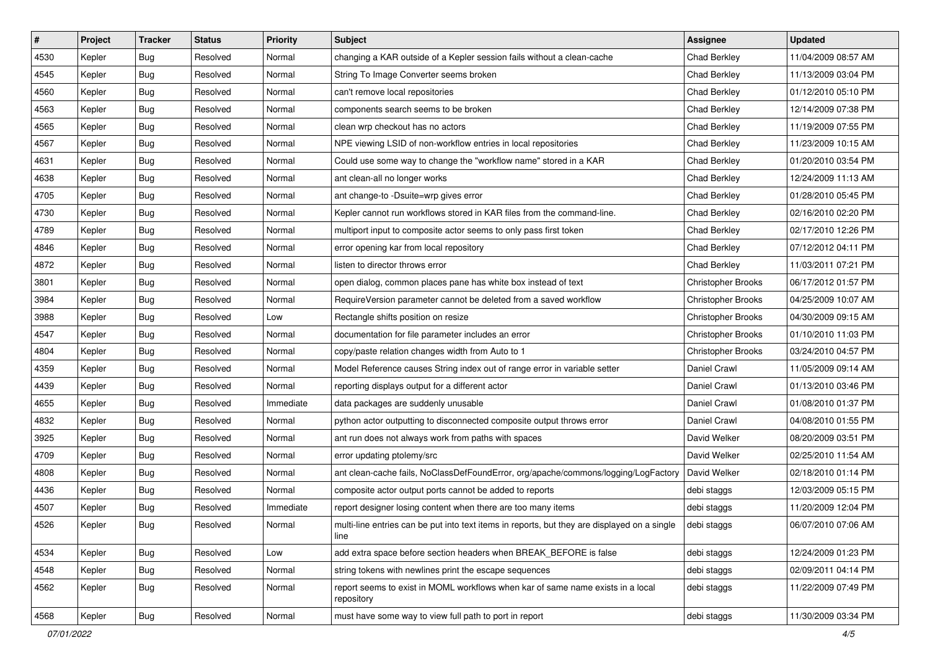| #    | Project | <b>Tracker</b> | <b>Status</b> | <b>Priority</b> | <b>Subject</b>                                                                                         | <b>Assignee</b>           | <b>Updated</b>      |
|------|---------|----------------|---------------|-----------------|--------------------------------------------------------------------------------------------------------|---------------------------|---------------------|
| 4530 | Kepler  | <b>Bug</b>     | Resolved      | Normal          | changing a KAR outside of a Kepler session fails without a clean-cache                                 | <b>Chad Berkley</b>       | 11/04/2009 08:57 AM |
| 4545 | Kepler  | <b>Bug</b>     | Resolved      | Normal          | String To Image Converter seems broken                                                                 | Chad Berkley              | 11/13/2009 03:04 PM |
| 4560 | Kepler  | <b>Bug</b>     | Resolved      | Normal          | can't remove local repositories                                                                        | <b>Chad Berkley</b>       | 01/12/2010 05:10 PM |
| 4563 | Kepler  | <b>Bug</b>     | Resolved      | Normal          | components search seems to be broken                                                                   | <b>Chad Berkley</b>       | 12/14/2009 07:38 PM |
| 4565 | Kepler  | <b>Bug</b>     | Resolved      | Normal          | clean wrp checkout has no actors                                                                       | Chad Berkley              | 11/19/2009 07:55 PM |
| 4567 | Kepler  | <b>Bug</b>     | Resolved      | Normal          | NPE viewing LSID of non-workflow entries in local repositories                                         | <b>Chad Berkley</b>       | 11/23/2009 10:15 AM |
| 4631 | Kepler  | <b>Bug</b>     | Resolved      | Normal          | Could use some way to change the "workflow name" stored in a KAR                                       | <b>Chad Berkley</b>       | 01/20/2010 03:54 PM |
| 4638 | Kepler  | <b>Bug</b>     | Resolved      | Normal          | ant clean-all no longer works                                                                          | <b>Chad Berkley</b>       | 12/24/2009 11:13 AM |
| 4705 | Kepler  | <b>Bug</b>     | Resolved      | Normal          | ant change-to -Dsuite=wrp gives error                                                                  | Chad Berkley              | 01/28/2010 05:45 PM |
| 4730 | Kepler  | <b>Bug</b>     | Resolved      | Normal          | Kepler cannot run workflows stored in KAR files from the command-line.                                 | Chad Berkley              | 02/16/2010 02:20 PM |
| 4789 | Kepler  | <b>Bug</b>     | Resolved      | Normal          | multiport input to composite actor seems to only pass first token                                      | Chad Berkley              | 02/17/2010 12:26 PM |
| 4846 | Kepler  | Bug            | Resolved      | Normal          | error opening kar from local repository                                                                | <b>Chad Berkley</b>       | 07/12/2012 04:11 PM |
| 4872 | Kepler  | Bug            | Resolved      | Normal          | listen to director throws error                                                                        | Chad Berkley              | 11/03/2011 07:21 PM |
| 3801 | Kepler  | <b>Bug</b>     | Resolved      | Normal          | open dialog, common places pane has white box instead of text                                          | <b>Christopher Brooks</b> | 06/17/2012 01:57 PM |
| 3984 | Kepler  | <b>Bug</b>     | Resolved      | Normal          | RequireVersion parameter cannot be deleted from a saved workflow                                       | <b>Christopher Brooks</b> | 04/25/2009 10:07 AM |
| 3988 | Kepler  | <b>Bug</b>     | Resolved      | Low             | Rectangle shifts position on resize                                                                    | <b>Christopher Brooks</b> | 04/30/2009 09:15 AM |
| 4547 | Kepler  | <b>Bug</b>     | Resolved      | Normal          | documentation for file parameter includes an error                                                     | Christopher Brooks        | 01/10/2010 11:03 PM |
| 4804 | Kepler  | <b>Bug</b>     | Resolved      | Normal          | copy/paste relation changes width from Auto to 1                                                       | <b>Christopher Brooks</b> | 03/24/2010 04:57 PM |
| 4359 | Kepler  | <b>Bug</b>     | Resolved      | Normal          | Model Reference causes String index out of range error in variable setter                              | Daniel Crawl              | 11/05/2009 09:14 AM |
| 4439 | Kepler  | <b>Bug</b>     | Resolved      | Normal          | reporting displays output for a different actor                                                        | Daniel Crawl              | 01/13/2010 03:46 PM |
| 4655 | Kepler  | <b>Bug</b>     | Resolved      | Immediate       | data packages are suddenly unusable                                                                    | Daniel Crawl              | 01/08/2010 01:37 PM |
| 4832 | Kepler  | <b>Bug</b>     | Resolved      | Normal          | python actor outputting to disconnected composite output throws error                                  | Daniel Crawl              | 04/08/2010 01:55 PM |
| 3925 | Kepler  | <b>Bug</b>     | Resolved      | Normal          | ant run does not always work from paths with spaces                                                    | David Welker              | 08/20/2009 03:51 PM |
| 4709 | Kepler  | <b>Bug</b>     | Resolved      | Normal          | error updating ptolemy/src                                                                             | David Welker              | 02/25/2010 11:54 AM |
| 4808 | Kepler  | Bug            | Resolved      | Normal          | ant clean-cache fails, NoClassDefFoundError, org/apache/commons/logging/LogFactory                     | David Welker              | 02/18/2010 01:14 PM |
| 4436 | Kepler  | <b>Bug</b>     | Resolved      | Normal          | composite actor output ports cannot be added to reports                                                | debi staggs               | 12/03/2009 05:15 PM |
| 4507 | Kepler  | <b>Bug</b>     | Resolved      | Immediate       | report designer losing content when there are too many items                                           | debi staggs               | 11/20/2009 12:04 PM |
| 4526 | Kepler  | Bug            | Resolved      | Normal          | multi-line entries can be put into text items in reports, but they are displayed on a single<br>l line | debi staggs               | 06/07/2010 07:06 AM |
| 4534 | Kepler  | <b>Bug</b>     | Resolved      | Low             | add extra space before section headers when BREAK_BEFORE is false                                      | debi staggs               | 12/24/2009 01:23 PM |
| 4548 | Kepler  | Bug            | Resolved      | Normal          | string tokens with newlines print the escape sequences                                                 | debi staggs               | 02/09/2011 04:14 PM |
| 4562 | Kepler  | <b>Bug</b>     | Resolved      | Normal          | report seems to exist in MOML workflows when kar of same name exists in a local<br>repository          | debi staggs               | 11/22/2009 07:49 PM |
| 4568 | Kepler  | Bug            | Resolved      | Normal          | must have some way to view full path to port in report                                                 | debi staggs               | 11/30/2009 03:34 PM |